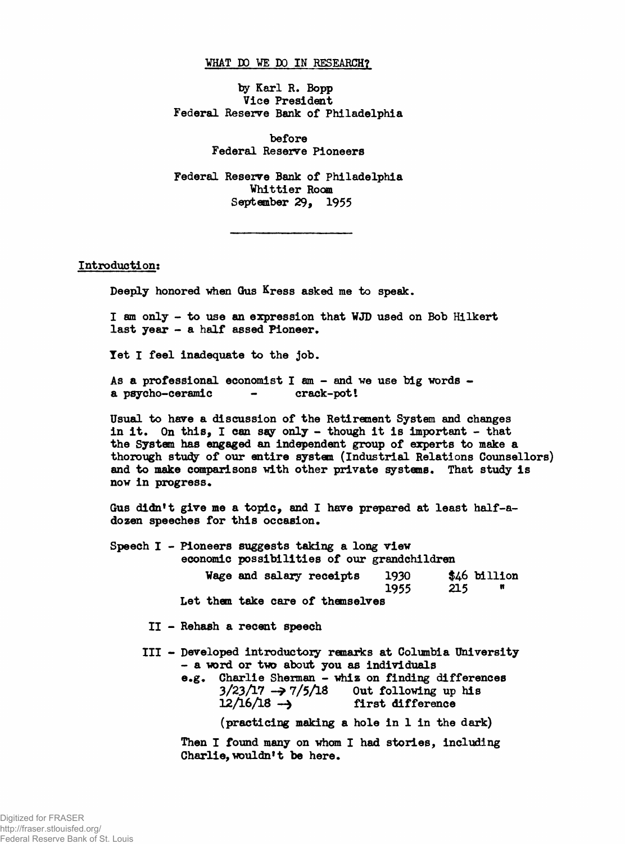## **WHAT DO VE DO IN RESEARCH?**

**by Karl R. Bopp Vice President Federal Reserve Bank of Philadelphia**

> **before Federal Reserve Pioneers**

**Federal Reserve Bank of Philadelphia Whittier Room September 29, 1955**

**Introduction:**

**Deeply honored vhen Qus Kress asked me to speak.**

**I am only - to use an expression that WJD used on Bob Hilkert last year - a half assed Pioneer.**

**let I feel inadequate to the job.**

**As a professional economist I am - and we use big words**  a psycho-ceramic

**Usual to have a discussion of the Retirement System and changes in it. On this, I can say only - though it is important - that the System has engaged an independent group of experts to make a** thorough study of our entire system (Industrial Relations Counsellors) **and to make comparisons with other private systems. That study is now in progress.**

**Gus didn't give me a topic, and I have prepared at least half-adozen speeches for this occasion.**

|  |  | Speech I - Pioneers suggests taking a long view<br>economic possibilities of our grandchildren |              |     |                   |
|--|--|------------------------------------------------------------------------------------------------|--------------|-----|-------------------|
|  |  | Wage and salary receipts                                                                       | 1930<br>1955 | 215 | \$46 billion<br>Ħ |
|  |  | Let them take care of themselves                                                               |              |     |                   |

**II - Rehash a recent speech**

**III - Developed introductory remarks at Columbia University - a word or two about you as individuals**

> **e.g. Charlie Sherman - whiz on finding differences**  $3/23/17 \rightarrow 7/5/18$  Out following up his  $12/16/18 \rightarrow$  first difference first difference

> > **(practicing making a hole in 1 in the dark)**

**Then I found many on whom I had stories, including Charlie, wouldn't be here.**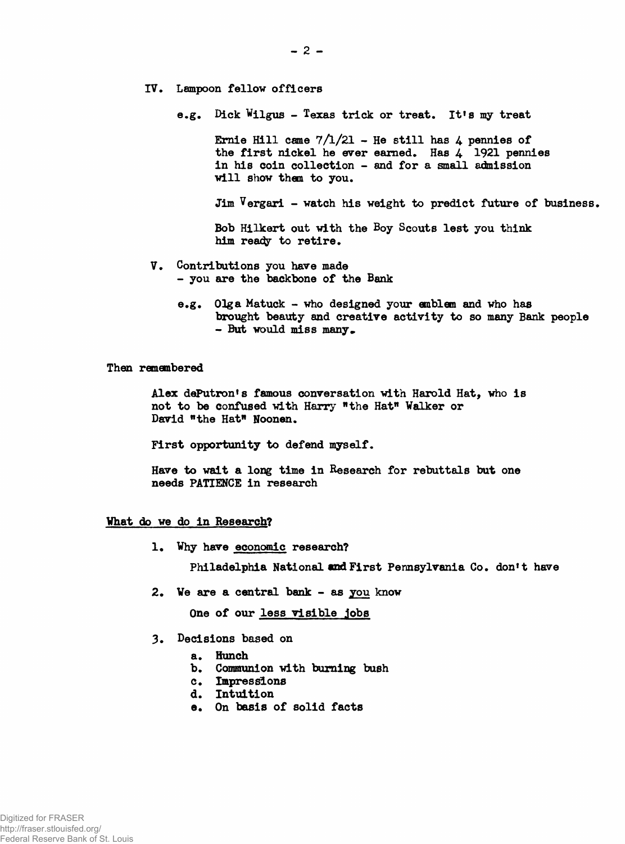- **IV. Lampoon fellow officers**
	- **e.g. Dick Viigus Texas trick or treat. Itfs my treat**

Ernie Hill came  $7/1/21$  – He still has  $4$  pennies of **the first nickel he ever earned. Has 4 1921 pennies in his coin collection - and for a small admission will show them to you.**

**Jim Vergari - watch his weight to predict future of business.**

**Bob Hilkert out with the Boy Scouts lest you think** him ready to retire.

- **V. Contributions you have made - you are the backbone of the Bank**
	- **e.g. Olga Matuck who designed your emblem and who has brought beauty and creative activity to so many Bank people** - But would miss many.

**Then remembered**

Alex dePutron's famous conversation with Harold Hat, who is **not to be confused with Harry "the Hat" Walker or David "the Hat" Noonen.**

**First opportunity to defend myself.**

**Have to wait a long time in Research for rebuttals but one needs PATIENCE in research**

## **What do we do in Research?**

1**. Why have economic research?**

Philadelphia National and First Pennsylvania Co. don't have

**2. We are a central bank - as you know**

**One of our less visible jobs**

- **3. Decisions based on**
	- **a. Hunch**
	- **b. Communion with burning bush**
	- **c. Impressions**
	- **d. Intuition**
	- **e. On basis of solid facts**